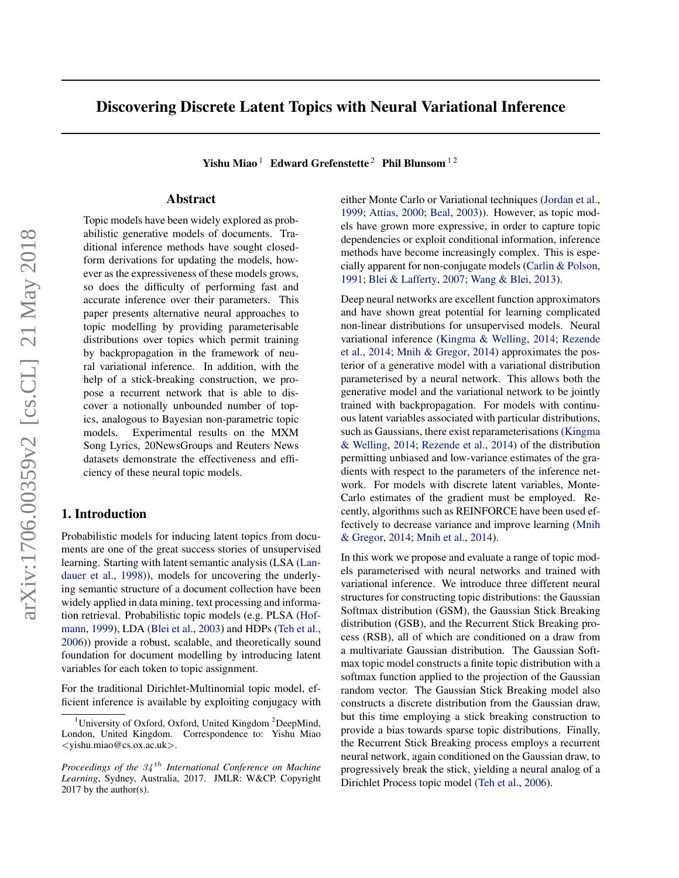# Discovering Discrete Latent Topics with Neural Variational Inference

Yishu Miao<sup>1</sup> Edward Grefenstette<sup>2</sup> Phil Blunsom<sup>12</sup>

# Abstract

Topic models have been widely explored as probabilistic generative models of documents. Traditional inference methods have sought closedform derivations for updating the models, however as the expressiveness of these models grows, so does the difficulty of performing fast and accurate inference over their parameters. This paper presents alternative neural approaches to topic modelling by providing parameterisable distributions over topics which permit training by backpropagation in the framework of neural variational inference. In addition, with the help of a stick-breaking construction, we propose a recurrent network that is able to discover a notionally unbounded number of topics, analogous to Bayesian non-parametric topic models. Experimental results on the MXM Song Lyrics, 20NewsGroups and Reuters News datasets demonstrate the effectiveness and efficiency of these neural topic models.

# 1. Introduction

Probabilistic models for inducing latent topics from documents are one of the great success stories of unsupervised learning. Starting with latent semantic analysis (LSA [\(Lan](#page-8-0)[dauer et al.,](#page-8-0) [1998\)](#page-8-0)), models for uncovering the underlying semantic structure of a document collection have been widely applied in data mining, text processing and information retrieval. Probabilistic topic models (e.g. PLSA [\(Hof](#page-8-0)[mann,](#page-8-0) [1999\)](#page-8-0), LDA [\(Blei et al.,](#page-8-0) [2003\)](#page-8-0) and HDPs [\(Teh et al.,](#page-8-0) [2006\)](#page-8-0)) provide a robust, scalable, and theoretically sound foundation for document modelling by introducing latent variables for each token to topic assignment.

For the traditional Dirichlet-Multinomial topic model, efficient inference is available by exploiting conjugacy with either Monte Carlo or Variational techniques [\(Jordan et al.,](#page-8-0) [1999;](#page-8-0) [Attias,](#page-8-0) [2000;](#page-8-0) [Beal,](#page-8-0) [2003\)](#page-8-0)). However, as topic models have grown more expressive, in order to capture topic dependencies or exploit conditional information, inference methods have become increasingly complex. This is especially apparent for non-conjugate models [\(Carlin & Polson,](#page-8-0) [1991;](#page-8-0) [Blei & Lafferty,](#page-8-0) [2007;](#page-8-0) [Wang & Blei,](#page-9-0) [2013\)](#page-9-0).

Deep neural networks are excellent function approximators and have shown great potential for learning complicated non-linear distributions for unsupervised models. Neural variational inference [\(Kingma & Welling,](#page-8-0) [2014;](#page-8-0) [Rezende](#page-8-0) [et al.,](#page-8-0) [2014;](#page-8-0) [Mnih & Gregor,](#page-8-0) [2014\)](#page-8-0) approximates the posterior of a generative model with a variational distribution parameterised by a neural network. This allows both the generative model and the variational network to be jointly trained with backpropagation. For models with continuous latent variables associated with particular distributions, such as Gaussians, there exist reparameterisations [\(Kingma](#page-8-0) [& Welling,](#page-8-0) [2014;](#page-8-0) [Rezende et al.,](#page-8-0) [2014\)](#page-8-0) of the distribution permitting unbiased and low-variance estimates of the gradients with respect to the parameters of the inference network. For models with discrete latent variables, Monte-Carlo estimates of the gradient must be employed. Recently, algorithms such as REINFORCE have been used effectively to decrease variance and improve learning [\(Mnih](#page-8-0) [& Gregor,](#page-8-0) [2014;](#page-8-0) [Mnih et al.,](#page-8-0) [2014\)](#page-8-0).

In this work we propose and evaluate a range of topic models parameterised with neural networks and trained with variational inference. We introduce three different neural structures for constructing topic distributions: the Gaussian Softmax distribution (GSM), the Gaussian Stick Breaking distribution (GSB), and the Recurrent Stick Breaking process (RSB), all of which are conditioned on a draw from a multivariate Gaussian distribution. The Gaussian Softmax topic model constructs a finite topic distribution with a softmax function applied to the projection of the Gaussian random vector. The Gaussian Stick Breaking model also constructs a discrete distribution from the Gaussian draw, but this time employing a stick breaking construction to provide a bias towards sparse topic distributions. Finally, the Recurrent Stick Breaking process employs a recurrent neural network, again conditioned on the Gaussian draw, to progressively break the stick, yielding a neural analog of a Dirichlet Process topic model [\(Teh et al.,](#page-8-0) [2006\)](#page-8-0).

<sup>&</sup>lt;sup>1</sup>University of Oxford, Oxford, United Kingdom  $2$ DeepMind, London, United Kingdom. Correspondence to: Yishu Miao <yishu.miao@cs.ox.ac.uk>.

*Proceedings of the* 34 th *International Conference on Machine Learning*, Sydney, Australia, 2017. JMLR: W&CP. Copyright  $2017$  by the author(s).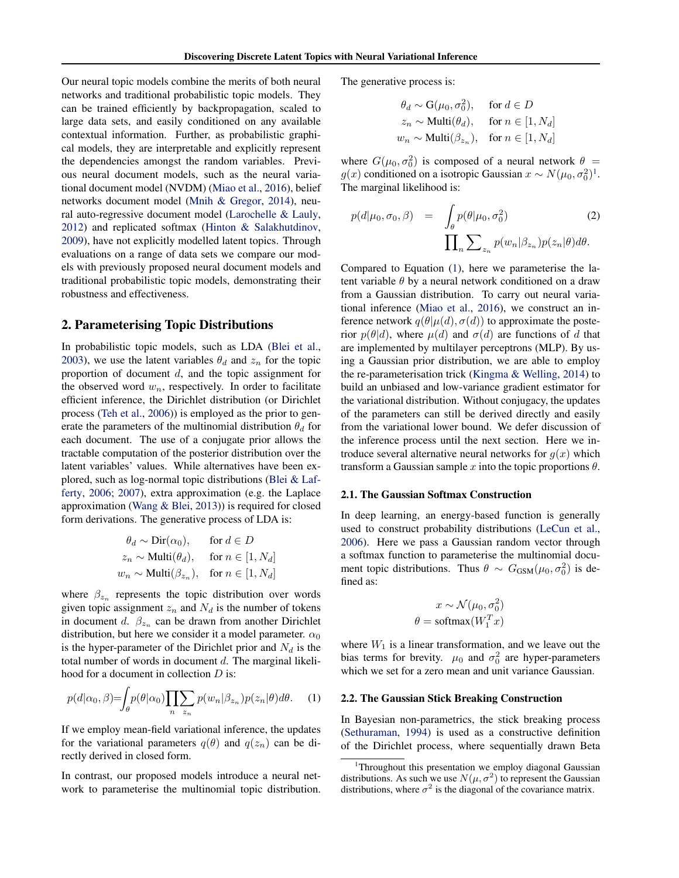<span id="page-1-0"></span>Our neural topic models combine the merits of both neural networks and traditional probabilistic topic models. They can be trained efficiently by backpropagation, scaled to large data sets, and easily conditioned on any available contextual information. Further, as probabilistic graphical models, they are interpretable and explicitly represent the dependencies amongst the random variables. Previous neural document models, such as the neural variational document model (NVDM) [\(Miao et al.,](#page-8-0) [2016\)](#page-8-0), belief networks document model [\(Mnih & Gregor,](#page-8-0) [2014\)](#page-8-0), neural auto-regressive document model [\(Larochelle & Lauly,](#page-8-0) [2012\)](#page-8-0) and replicated softmax [\(Hinton & Salakhutdinov,](#page-8-0) [2009\)](#page-8-0), have not explicitly modelled latent topics. Through evaluations on a range of data sets we compare our models with previously proposed neural document models and traditional probabilistic topic models, demonstrating their robustness and effectiveness.

### 2. Parameterising Topic Distributions

In probabilistic topic models, such as LDA [\(Blei et al.,](#page-8-0) [2003\)](#page-8-0), we use the latent variables  $\theta_d$  and  $z_n$  for the topic proportion of document d, and the topic assignment for the observed word  $w_n$ , respectively. In order to facilitate efficient inference, the Dirichlet distribution (or Dirichlet process [\(Teh et al.,](#page-8-0) [2006\)](#page-8-0)) is employed as the prior to generate the parameters of the multinomial distribution  $\theta_d$  for each document. The use of a conjugate prior allows the tractable computation of the posterior distribution over the latent variables' values. While alternatives have been explored, such as log-normal topic distributions [\(Blei & Laf](#page-8-0)[ferty,](#page-8-0) [2006;](#page-8-0) [2007\)](#page-8-0), extra approximation (e.g. the Laplace approximation [\(Wang & Blei,](#page-9-0) [2013\)](#page-9-0)) is required for closed form derivations. The generative process of LDA is:

$$
\theta_d \sim \text{Dir}(\alpha_0), \quad \text{for } d \in D
$$
  
\n
$$
z_n \sim \text{Multi}(\theta_d), \quad \text{for } n \in [1, N_d]
$$
  
\n
$$
w_n \sim \text{Multi}(\beta_{z_n}), \quad \text{for } n \in [1, N_d]
$$

where  $\beta_{z_n}$  represents the topic distribution over words given topic assignment  $z_n$  and  $N_d$  is the number of tokens in document d.  $\beta_{z_n}$  can be drawn from another Dirichlet distribution, but here we consider it a model parameter.  $\alpha_0$ is the hyper-parameter of the Dirichlet prior and  $N_d$  is the total number of words in document d. The marginal likelihood for a document in collection D is:

$$
p(d|\alpha_0, \beta) = \int_{\theta} p(\theta|\alpha_0) \prod_{n} \sum_{z_n} p(w_n|\beta_{z_n}) p(z_n|\theta) d\theta.
$$
 (1)

If we employ mean-field variational inference, the updates for the variational parameters  $q(\theta)$  and  $q(z_n)$  can be directly derived in closed form.

In contrast, our proposed models introduce a neural network to parameterise the multinomial topic distribution. The generative process is:

$$
\theta_d \sim \mathbf{G}(\mu_0, \sigma_0^2), \quad \text{ for } d \in D
$$
  
\n
$$
z_n \sim \text{Multi}(\theta_d), \quad \text{ for } n \in [1, N_d]
$$
  
\n
$$
w_n \sim \text{Multi}(\beta_{z_n}), \quad \text{ for } n \in [1, N_d]
$$

where  $G(\mu_0, \sigma_0^2)$  is composed of a neural network  $\theta =$  $g(x)$  conditioned on a isotropic Gaussian  $x \sim N(\mu_0, \sigma_0^2)^1$ . The marginal likelihood is:

$$
p(d|\mu_0, \sigma_0, \beta) = \int_{\theta} p(\theta|\mu_0, \sigma_0^2)
$$
 (2)  

$$
\prod_{n} \sum_{z_n} p(w_n|\beta_{z_n}) p(z_n|\theta) d\theta.
$$

Compared to Equation (1), here we parameterise the latent variable  $\theta$  by a neural network conditioned on a draw from a Gaussian distribution. To carry out neural variational inference [\(Miao et al.,](#page-8-0) [2016\)](#page-8-0), we construct an inference network  $q(\theta|\mu(d), \sigma(d))$  to approximate the posterior  $p(\theta|d)$ , where  $\mu(d)$  and  $\sigma(d)$  are functions of d that are implemented by multilayer perceptrons (MLP). By using a Gaussian prior distribution, we are able to employ the re-parameterisation trick [\(Kingma & Welling,](#page-8-0) [2014\)](#page-8-0) to build an unbiased and low-variance gradient estimator for the variational distribution. Without conjugacy, the updates of the parameters can still be derived directly and easily from the variational lower bound. We defer discussion of the inference process until the next section. Here we introduce several alternative neural networks for  $q(x)$  which transform a Gaussian sample x into the topic proportions  $\theta$ .

### 2.1. The Gaussian Softmax Construction

In deep learning, an energy-based function is generally used to construct probability distributions [\(LeCun et al.,](#page-8-0) [2006\)](#page-8-0). Here we pass a Gaussian random vector through a softmax function to parameterise the multinomial document topic distributions. Thus  $\theta \sim G_{\text{GSM}}(\mu_0, \sigma_0^2)$  is defined as:

$$
x \sim \mathcal{N}(\mu_0, \sigma_0^2)
$$

$$
\theta = \text{softmax}(W_1^T x)
$$

where  $W_1$  is a linear transformation, and we leave out the bias terms for brevity.  $\mu_0$  and  $\sigma_0^2$  are hyper-parameters which we set for a zero mean and unit variance Gaussian.

#### 2.2. The Gaussian Stick Breaking Construction

In Bayesian non-parametrics, the stick breaking process [\(Sethuraman,](#page-8-0) [1994\)](#page-8-0) is used as a constructive definition of the Dirichlet process, where sequentially drawn Beta

<sup>1</sup>Throughout this presentation we employ diagonal Gaussian distributions. As such we use  $N(\mu, \sigma^2)$  to represent the Gaussian distributions, where  $\sigma^2$  is the diagonal of the covariance matrix.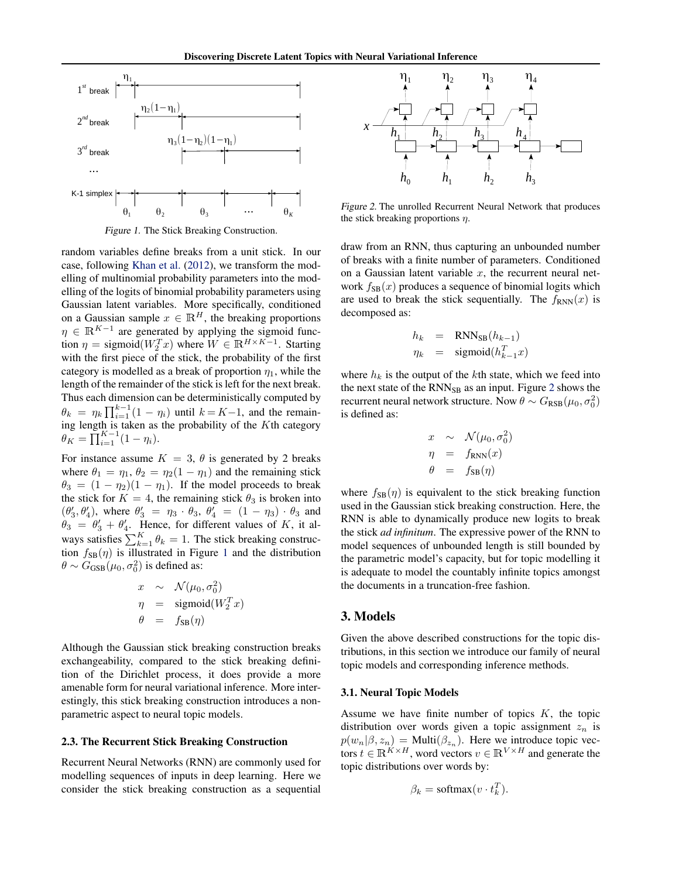

Figure 1. The Stick Breaking Construction.

random variables define breaks from a unit stick. In our case, following [Khan et al.](#page-8-0) [\(2012\)](#page-8-0), we transform the modelling of multinomial probability parameters into the modelling of the logits of binomial probability parameters using Gaussian latent variables. More specifically, conditioned on a Gaussian sample  $x \in \mathbb{R}^H$ , the breaking proportions  $\eta \in \mathbb{R}^{K-1}$  are generated by applying the sigmoid function  $\eta =$  sigmoid $(W_2^T x)$  where  $W \in \mathbb{R}^{H \times K-1}$ . Starting with the first piece of the stick, the probability of the first category is modelled as a break of proportion  $\eta_1$ , while the length of the remainder of the stick is left for the next break. Thus each dimension can be deterministically computed by  $\theta_k = \eta_k \prod_{i=1}^{k-1} (1 - \eta_i)$  until  $k = K-1$ , and the remaining length is taken as the probability of the  $K$ th category  $\theta_K = \prod_{i=1}^{K-1} (1 - \eta_i).$ 

For instance assume  $K = 3$ ,  $\theta$  is generated by 2 breaks where  $\theta_1 = \eta_1$ ,  $\theta_2 = \eta_2(1 - \eta_1)$  and the remaining stick  $\theta_3 = (1 - \eta_2)(1 - \eta_1)$ . If the model proceeds to break the stick for  $K = 4$ , the remaining stick  $\theta_3$  is broken into  $(\theta'_3, \theta'_4)$ , where  $\theta'_3 = \eta_3 \cdot \theta_3$ ,  $\theta'_4 = (1 - \eta_3) \cdot \theta_3$  and  $\theta_3 = \theta'_3 + \theta'_4$ . Hence, for different values of K, it always satisfies  $\sum_{k=1}^{K} \theta_k = 1$ . The stick breaking construction  $f_{SB}(\eta)$  is illustrated in Figure 1 and the distribution  $\theta \sim G_{\text{GSB}}(\mu_0, \sigma_0^2)$  is defined as:

$$
\begin{array}{rcl}\nx & \sim & \mathcal{N}(\mu_0, \sigma_0^2) \\
\eta & = & \text{sigmoid}(W_2^T x) \\
\theta & = & f_{\text{SB}}(\eta)\n\end{array}
$$

Although the Gaussian stick breaking construction breaks exchangeability, compared to the stick breaking definition of the Dirichlet process, it does provide a more amenable form for neural variational inference. More interestingly, this stick breaking construction introduces a nonparametric aspect to neural topic models.

#### 2.3. The Recurrent Stick Breaking Construction

Recurrent Neural Networks (RNN) are commonly used for modelling sequences of inputs in deep learning. Here we consider the stick breaking construction as a sequential



Figure 2. The unrolled Recurrent Neural Network that produces the stick breaking proportions  $\eta$ .

draw from an RNN, thus capturing an unbounded number of breaks with a finite number of parameters. Conditioned on a Gaussian latent variable  $x$ , the recurrent neural network  $f_{SB}(x)$  produces a sequence of binomial logits which are used to break the stick sequentially. The  $f_{RNN}(x)$  is decomposed as:

$$
h_k = \text{RNN}_{\text{SB}}(h_{k-1})
$$
  

$$
\eta_k = \text{sigmoid}(h_{k-1}^T x)
$$

where  $h_k$  is the output of the kth state, which we feed into the next state of the  $RNN_{SB}$  as an input. Figure 2 shows the recurrent neural network structure. Now  $\theta \sim G_{\rm RSB}(\mu_0, \sigma_0^2)$ is defined as:

$$
\begin{array}{rcl}\nx & \sim & \mathcal{N}(\mu_0, \sigma_0^2) \\
\eta & = & f_{\text{RNN}}(x) \\
\theta & = & f_{\text{SB}}(\eta)\n\end{array}
$$

where  $f_{SB}(\eta)$  is equivalent to the stick breaking function used in the Gaussian stick breaking construction. Here, the RNN is able to dynamically produce new logits to break the stick *ad infinitum*. The expressive power of the RNN to model sequences of unbounded length is still bounded by the parametric model's capacity, but for topic modelling it is adequate to model the countably infinite topics amongst the documents in a truncation-free fashion.

# 3. Models

Given the above described constructions for the topic distributions, in this section we introduce our family of neural topic models and corresponding inference methods.

### 3.1. Neural Topic Models

Assume we have finite number of topics  $K$ , the topic distribution over words given a topic assignment  $z_n$  is  $p(w_n | \beta, z_n) = \text{Multi}(\beta_{z_n})$ . Here we introduce topic vectors  $t \in \mathbb{R}^{K \times H}$ , word vectors  $v \in \mathbb{R}^{V \times H}$  and generate the topic distributions over words by:

$$
\beta_k = \text{softmax}(v \cdot t_k^T).
$$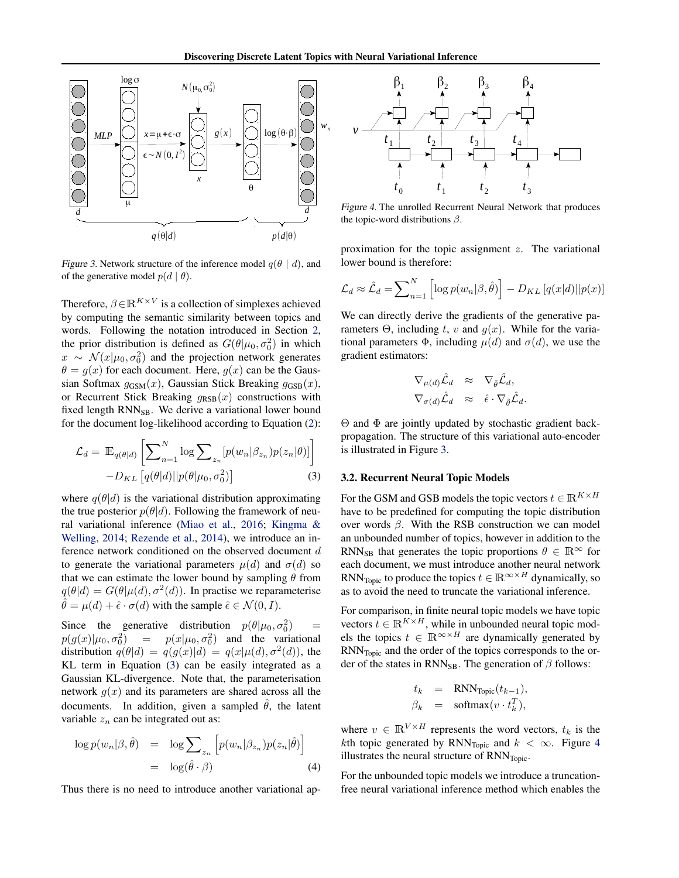<span id="page-3-0"></span>

Figure 3. Network structure of the inference model  $q(\theta \mid d)$ , and of the generative model  $p(d | \theta)$ .

Therefore,  $\beta \in \mathbb{R}^{K \times V}$  is a collection of simplexes achieved by computing the semantic similarity between topics and words. Following the notation introduced in Section [2,](#page-1-0) the prior distribution is defined as  $G(\theta | \mu_0, \sigma_0^2)$  in which  $x \sim \mathcal{N}(x|\mu_0, \sigma_0^2)$  and the projection network generates  $\theta = g(x)$  for each document. Here,  $g(x)$  can be the Gaussian Softmax  $g_{\text{GSM}}(x)$ , Gaussian Stick Breaking  $g_{\text{GSB}}(x)$ , or Recurrent Stick Breaking  $g_{RSB}(x)$  constructions with fixed length RNN<sub>SB</sub>. We derive a variational lower bound for the document log-likelihood according to Equation [\(2\)](#page-1-0):

$$
\mathcal{L}_d = \mathbb{E}_{q(\theta|d)} \left[ \sum_{n=1}^N \log \sum_{z_n} [p(w_n | \beta_{z_n}) p(z_n | \theta)] \right] -D_{KL} \left[ q(\theta|d) || p(\theta | \mu_0, \sigma_0^2) \right]
$$
\n(3)

where  $q(\theta|d)$  is the variational distribution approximating the true posterior  $p(\theta|d)$ . Following the framework of neural variational inference [\(Miao et al.,](#page-8-0) [2016;](#page-8-0) [Kingma &](#page-8-0) [Welling,](#page-8-0) [2014;](#page-8-0) [Rezende et al.,](#page-8-0) [2014\)](#page-8-0), we introduce an inference network conditioned on the observed document d to generate the variational parameters  $\mu(d)$  and  $\sigma(d)$  so that we can estimate the lower bound by sampling  $\theta$  from  $q(\theta|d) = G(\theta|\mu(d), \sigma^2(d))$ . In practise we reparameterise  $\hat{\theta} = \mu(d) + \hat{\epsilon} \cdot \sigma(d)$  with the sample  $\hat{\epsilon} \in \mathcal{N}(0, I)$ .

Since the generative distribution  $p(\theta | \mu_0, \sigma_0^2)$  =  $p(g(x)|\mu_0, \sigma_0^2)$  $= p(x|\mu_0, \sigma_0^2)$  and the variational distribution  $q(\theta|d) = q(g(x)|d) = q(x|\mu(d), \sigma^2(d))$ , the KL term in Equation (3) can be easily integrated as a Gaussian KL-divergence. Note that, the parameterisation network  $g(x)$  and its parameters are shared across all the documents. In addition, given a sampled  $\hat{\theta}$ , the latent variable  $z_n$  can be integrated out as:

$$
\log p(w_n|\beta, \hat{\theta}) = \log \sum_{z_n} \left[ p(w_n|\beta_{z_n}) p(z_n|\hat{\theta}) \right]
$$
  
=  $\log(\hat{\theta} \cdot \beta)$  (4)

Thus there is no need to introduce another variational ap-



Figure 4. The unrolled Recurrent Neural Network that produces the topic-word distributions  $\beta$ .

proximation for the topic assignment  $z$ . The variational lower bound is therefore:

$$
\mathcal{L}_d \approx \hat{\mathcal{L}}_d = \sum_{n=1}^N \left[ \log p(w_n | \beta, \hat{\theta}) \right] - D_{KL} \left[ q(x | d) || p(x) \right]
$$

We can directly derive the gradients of the generative parameters  $\Theta$ , including t, v and  $g(x)$ . While for the variational parameters  $\Phi$ , including  $\mu(d)$  and  $\sigma(d)$ , we use the gradient estimators:

$$
\nabla_{\mu(d)} \hat{\mathcal{L}}_d \quad \approx \quad \nabla_{\hat{\theta}} \hat{\mathcal{L}}_d, \nabla_{\sigma(d)} \hat{\mathcal{L}}_d \quad \approx \quad \hat{\epsilon} \cdot \nabla_{\hat{\theta}} \hat{\mathcal{L}}_d.
$$

Θ and Φ are jointly updated by stochastic gradient backpropagation. The structure of this variational auto-encoder is illustrated in Figure 3.

#### 3.2. Recurrent Neural Topic Models

For the GSM and GSB models the topic vectors  $t \in \mathbb{R}^{K \times H}$ have to be predefined for computing the topic distribution over words  $\beta$ . With the RSB construction we can model an unbounded number of topics, however in addition to the RNN<sub>SB</sub> that generates the topic proportions  $\theta \in \mathbb{R}^{\infty}$  for each document, we must introduce another neural network RNN<sub>Topic</sub> to produce the topics  $t \in \mathbb{R}^{\infty \times H}$  dynamically, so as to avoid the need to truncate the variational inference.

For comparison, in finite neural topic models we have topic vectors  $t \in \mathbb{R}^{K \times H}$ , while in unbounded neural topic models the topics  $t \in \mathbb{R}^{\infty \times H}$  are dynamically generated by RNNTopic and the order of the topics corresponds to the order of the states in RNN<sub>SB</sub>. The generation of  $\beta$  follows:

$$
t_k = \text{RNN}_{\text{Topic}}(t_{k-1}),
$$
  

$$
\beta_k = \text{softmax}(v \cdot t_k^T),
$$

where  $v \in \mathbb{R}^{V \times H}$  represents the word vectors,  $t_k$  is the kth topic generated by  $RNN_{Topic}$  and  $k < \infty$ . Figure 4 illustrates the neural structure of  $RNN<sub>Topic</sub>$ .

For the unbounded topic models we introduce a truncationfree neural variational inference method which enables the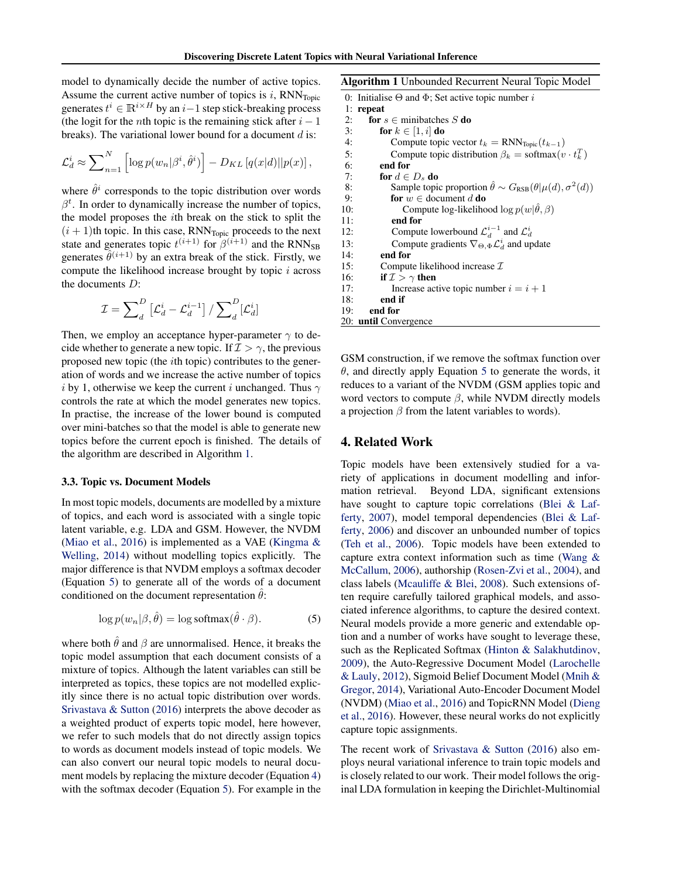<span id="page-4-0"></span>model to dynamically decide the number of active topics. Assume the current active number of topics is  $i$ , RNN<sub>Topic</sub> generates  $t^i \in \mathbb{R}^{i \times H}$  by an  $i-1$  step stick-breaking process (the logit for the *n*th topic is the remaining stick after  $i - 1$ breaks). The variational lower bound for a document  $d$  is:

$$
\mathcal{L}_d^i \approx \sum\nolimits_{n=1}^N \left[ \log p(w_n | \beta^i, \hat{\theta}^i) \right] - D_{KL} \left[ q(x | d) || p(x) \right],
$$

where  $\hat{\theta}^i$  corresponds to the topic distribution over words  $\beta^t$ . In order to dynamically increase the number of topics, the model proposes the ith break on the stick to split the  $(i + 1)$ th topic. In this case, RNN<sub>Topic</sub> proceeds to the next state and generates topic  $t^{(i+1)}$  for  $\beta^{(i+1)}$  and the RNN<sub>SB</sub> generates  $\hat{\theta}^{(i+1)}$  by an extra break of the stick. Firstly, we compute the likelihood increase brought by topic  $i$  across the documents D:

$$
\mathcal{I} = \sum\nolimits_d^D {\left[ {{\mathcal{L}^{i}_d} - {\mathcal{L}^{i-1}_d}} \right]} \mathbin{/}\sum\nolimits_d^D [{\mathcal{L}^{i}_d}]
$$

Then, we employ an acceptance hyper-parameter  $\gamma$  to decide whether to generate a new topic. If  $\mathcal{I} > \gamma$ , the previous proposed new topic (the ith topic) contributes to the generation of words and we increase the active number of topics i by 1, otherwise we keep the current i unchanged. Thus  $\gamma$ controls the rate at which the model generates new topics. In practise, the increase of the lower bound is computed over mini-batches so that the model is able to generate new topics before the current epoch is finished. The details of the algorithm are described in Algorithm 1.

### 3.3. Topic vs. Document Models

In most topic models, documents are modelled by a mixture of topics, and each word is associated with a single topic latent variable, e.g. LDA and GSM. However, the NVDM [\(Miao et al.,](#page-8-0) [2016\)](#page-8-0) is implemented as a VAE [\(Kingma &](#page-8-0) [Welling,](#page-8-0) [2014\)](#page-8-0) without modelling topics explicitly. The major difference is that NVDM employs a softmax decoder (Equation 5) to generate all of the words of a document conditioned on the document representation  $\theta$ :

$$
\log p(w_n|\beta, \hat{\theta}) = \log \text{softmax}(\hat{\theta} \cdot \beta). \tag{5}
$$

where both  $\hat{\theta}$  and  $\beta$  are unnormalised. Hence, it breaks the topic model assumption that each document consists of a mixture of topics. Although the latent variables can still be interpreted as topics, these topics are not modelled explicitly since there is no actual topic distribution over words. [Srivastava & Sutton](#page-8-0) [\(2016\)](#page-8-0) interprets the above decoder as a weighted product of experts topic model, here however, we refer to such models that do not directly assign topics to words as document models instead of topic models. We can also convert our neural topic models to neural document models by replacing the mixture decoder (Equation [4\)](#page-3-0) with the softmax decoder (Equation 5). For example in the

Algorithm 1 Unbounded Recurrent Neural Topic Model

|     | 0: Initialise $\Theta$ and $\Phi$ ; Set active topic number i                     |
|-----|-----------------------------------------------------------------------------------|
| 1:  | repeat                                                                            |
| 2:  | for $s \in$ minibatches S do                                                      |
| 3:  | for $k \in [1, i]$ do                                                             |
| 4:  | Compute topic vector $t_k = RNN_{Topic}(t_{k-1})$                                 |
| 5:  | Compute topic distribution $\beta_k = \text{softmax}(v \cdot t_k^T)$              |
| 6:  | end for                                                                           |
| 7:  | for $d \in D_s$ do                                                                |
| 8:  | Sample topic proportion $\hat{\theta} \sim G_{RSB}(\theta   \mu(d), \sigma^2(d))$ |
| 9:  | <b>for</b> $w \in$ document d <b>do</b>                                           |
| 10: | Compute log-likelihood log $p(w \hat{\theta}, \beta)$                             |
| 11: | end for                                                                           |
| 12: | Compute lowerbound $\mathcal{L}_d^{i-1}$ and $\mathcal{L}_d^i$                    |
| 13: | Compute gradients $\nabla_{\Theta, \Phi} \mathcal{L}_d^i$ and update              |
| 14: | end for                                                                           |
| 15: | Compute likelihood increase $\mathcal I$                                          |
| 16: | if $\mathcal{I} > \gamma$ then                                                    |
| 17: | Increase active topic number $i = i + 1$                                          |
| 18: | end if                                                                            |
| 19: | end for                                                                           |
|     | 20: <b>until</b> Convergence                                                      |

GSM construction, if we remove the softmax function over  $\theta$ , and directly apply Equation 5 to generate the words, it reduces to a variant of the NVDM (GSM applies topic and word vectors to compute  $\beta$ , while NVDM directly models a projection  $\beta$  from the latent variables to words).

# 4. Related Work

Topic models have been extensively studied for a variety of applications in document modelling and information retrieval. Beyond LDA, significant extensions have sought to capture topic correlations [\(Blei & Laf](#page-8-0)[ferty,](#page-8-0) [2007\)](#page-8-0), model temporal dependencies [\(Blei & Laf](#page-8-0)[ferty,](#page-8-0) [2006\)](#page-8-0) and discover an unbounded number of topics [\(Teh et al.,](#page-8-0) [2006\)](#page-8-0). Topic models have been extended to capture extra context information such as time [\(Wang &](#page-9-0) [McCallum,](#page-9-0) [2006\)](#page-9-0), authorship [\(Rosen-Zvi et al.,](#page-8-0) [2004\)](#page-8-0), and class labels [\(Mcauliffe & Blei,](#page-8-0) [2008\)](#page-8-0). Such extensions often require carefully tailored graphical models, and associated inference algorithms, to capture the desired context. Neural models provide a more generic and extendable option and a number of works have sought to leverage these, such as the Replicated Softmax [\(Hinton & Salakhutdinov,](#page-8-0) [2009\)](#page-8-0), the Auto-Regressive Document Model [\(Larochelle](#page-8-0) [& Lauly,](#page-8-0) [2012\)](#page-8-0), Sigmoid Belief Document Model [\(Mnih &](#page-8-0) [Gregor,](#page-8-0) [2014\)](#page-8-0), Variational Auto-Encoder Document Model (NVDM) [\(Miao et al.,](#page-8-0) [2016\)](#page-8-0) and TopicRNN Model [\(Dieng](#page-8-0) [et al.,](#page-8-0) [2016\)](#page-8-0). However, these neural works do not explicitly capture topic assignments.

The recent work of [Srivastava & Sutton](#page-8-0) [\(2016\)](#page-8-0) also employs neural variational inference to train topic models and is closely related to our work. Their model follows the original LDA formulation in keeping the Dirichlet-Multinomial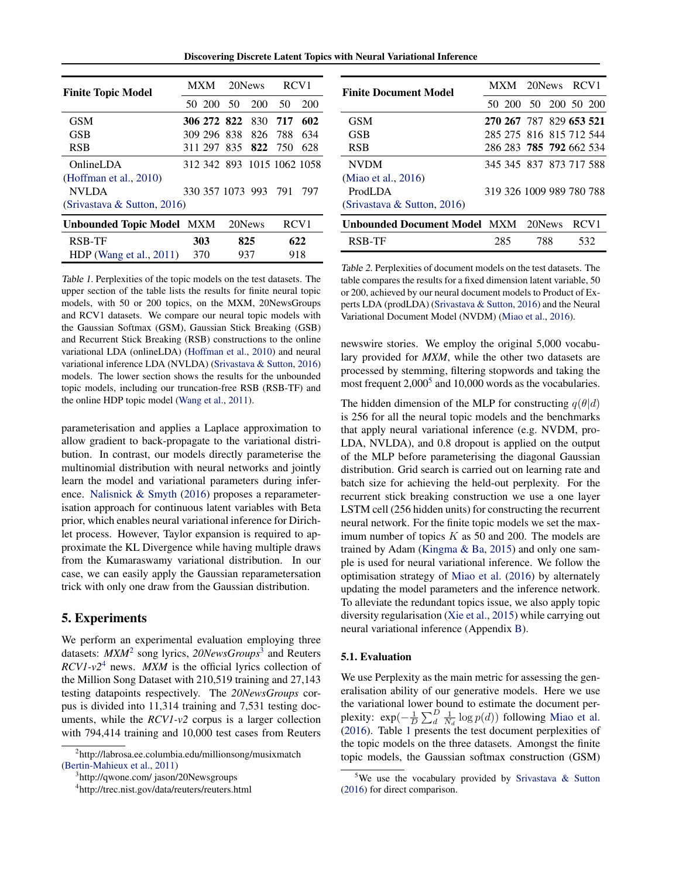Discovering Discrete Latent Topics with Neural Variational Inference

<span id="page-5-0"></span>

| <b>Finite Topic Model</b>        | <b>MXM</b>                 |  | 20News |     | RCV <sub>1</sub> |  |
|----------------------------------|----------------------------|--|--------|-----|------------------|--|
|                                  | 50 200 50                  |  | 200    | 50  | 200              |  |
| <b>GSM</b>                       | 306 272 822 830            |  |        | 717 | 602              |  |
| <b>GSB</b>                       | 309 296 838 826            |  |        | 788 | 634              |  |
| <b>RSB</b>                       | 311 297 835 822 750        |  |        |     | 628              |  |
| OnlineLDA                        | 312 342 893 1015 1062 1058 |  |        |     |                  |  |
| (Hoffman et al., $2010$ )        |                            |  |        |     |                  |  |
| <b>NVLDA</b>                     | 330 357 1073 993 791       |  |        |     | 797              |  |
| (Srivastava & Sutton, 2016)      |                            |  |        |     |                  |  |
| <b>Unbounded Topic Model MXM</b> |                            |  | 20News |     | RCV <sub>1</sub> |  |
| <b>RSB-TF</b>                    | 303                        |  | 825    |     | 622              |  |
| HDP (Wang et al., $2011$ )       | 370                        |  | 937    | 918 |                  |  |

Table 1. Perplexities of the topic models on the test datasets. The upper section of the table lists the results for finite neural topic models, with 50 or 200 topics, on the MXM, 20NewsGroups and RCV1 datasets. We compare our neural topic models with the Gaussian Softmax (GSM), Gaussian Stick Breaking (GSB) and Recurrent Stick Breaking (RSB) constructions to the online variational LDA (onlineLDA) [\(Hoffman et al.,](#page-8-0) [2010\)](#page-8-0) and neural variational inference LDA (NVLDA) [\(Srivastava & Sutton,](#page-8-0) [2016\)](#page-8-0) models. The lower section shows the results for the unbounded topic models, including our truncation-free RSB (RSB-TF) and the online HDP topic model [\(Wang et al.,](#page-9-0) [2011\)](#page-9-0).

parameterisation and applies a Laplace approximation to allow gradient to back-propagate to the variational distribution. In contrast, our models directly parameterise the multinomial distribution with neural networks and jointly learn the model and variational parameters during inference. [Nalisnick & Smyth](#page-8-0) [\(2016\)](#page-8-0) proposes a reparameterisation approach for continuous latent variables with Beta prior, which enables neural variational inference for Dirichlet process. However, Taylor expansion is required to approximate the KL Divergence while having multiple draws from the Kumaraswamy variational distribution. In our case, we can easily apply the Gaussian reparametersation trick with only one draw from the Gaussian distribution.

# 5. Experiments

We perform an experimental evaluation employing three datasets: *MXM*<sup>2</sup> song lyrics, *20NewsGroups*<sup>3</sup> and Reuters *RCV1-v2*<sup>4</sup> news. *MXM* is the official lyrics collection of the Million Song Dataset with 210,519 training and 27,143 testing datapoints respectively. The *20NewsGroups* corpus is divided into 11,314 training and 7,531 testing documents, while the *RCV1-v2* corpus is a larger collection with 794,414 training and 10,000 test cases from Reuters

3 http://qwone.com/ jason/20Newsgroups

4 http://trec.nist.gov/data/reuters/reuters.html

| <b>Finite Document Model</b>        |  |     |                          | MXM 20News RCV1 |                  |     |  |
|-------------------------------------|--|-----|--------------------------|-----------------|------------------|-----|--|
|                                     |  |     | 50 200 50 200 50 200     |                 |                  |     |  |
| <b>GSM</b>                          |  |     | 270 267 787 829 653 521  |                 |                  |     |  |
| <b>GSB</b>                          |  |     | 285 275 816 815 712 544  |                 |                  |     |  |
| <b>RSB</b>                          |  |     | 286 283 785 792 662 534  |                 |                  |     |  |
| <b>NVDM</b>                         |  |     | 345 345 837 873 717 588  |                 |                  |     |  |
| (Miao et al., 2016)                 |  |     |                          |                 |                  |     |  |
| ProdLDA                             |  |     | 319 326 1009 989 780 788 |                 |                  |     |  |
| (Srivastava & Sutton, 2016)         |  |     |                          |                 |                  |     |  |
| Unbounded Document Model MXM 20News |  |     |                          |                 | RCV <sub>1</sub> |     |  |
| RSB-TF                              |  | 285 | 788                      |                 |                  | 532 |  |

Table 2. Perplexities of document models on the test datasets. The table compares the results for a fixed dimension latent variable, 50 or 200, achieved by our neural document models to Product of Experts LDA (prodLDA) [\(Srivastava & Sutton,](#page-8-0) [2016\)](#page-8-0) and the Neural Variational Document Model (NVDM) [\(Miao et al.,](#page-8-0) [2016\)](#page-8-0).

newswire stories. We employ the original 5,000 vocabulary provided for *MXM*, while the other two datasets are processed by stemming, filtering stopwords and taking the most frequent  $2,000^5$  and  $10,000$  words as the vocabularies.

The hidden dimension of the MLP for constructing  $q(\theta|d)$ is 256 for all the neural topic models and the benchmarks that apply neural variational inference (e.g. NVDM, pro-LDA, NVLDA), and 0.8 dropout is applied on the output of the MLP before parameterising the diagonal Gaussian distribution. Grid search is carried out on learning rate and batch size for achieving the held-out perplexity. For the recurrent stick breaking construction we use a one layer LSTM cell (256 hidden units) for constructing the recurrent neural network. For the finite topic models we set the maximum number of topics  $K$  as 50 and 200. The models are trained by Adam [\(Kingma & Ba,](#page-8-0) [2015\)](#page-8-0) and only one sample is used for neural variational inference. We follow the optimisation strategy of [Miao et al.](#page-8-0) [\(2016\)](#page-8-0) by alternately updating the model parameters and the inference network. To alleviate the redundant topics issue, we also apply topic diversity regularisation [\(Xie et al.,](#page-9-0) [2015\)](#page-9-0) while carrying out neural variational inference (Appendix [B\)](#page-10-0).

### 5.1. Evaluation

We use Perplexity as the main metric for assessing the generalisation ability of our generative models. Here we use the variational lower bound to estimate the document perplexity:  $\exp(-\frac{1}{D}\sum_{d}^{D}\frac{1}{N_d}\log p(d))$  following [Miao et al.](#page-8-0) [\(2016\)](#page-8-0). Table 1 presents the test document perplexities of the topic models on the three datasets. Amongst the finite topic models, the Gaussian softmax construction (GSM)

<sup>2</sup> http://labrosa.ee.columbia.edu/millionsong/musixmatch [\(Bertin-Mahieux et al.,](#page-8-0) [2011\)](#page-8-0)

<sup>&</sup>lt;sup>5</sup>We use the vocabulary provided by [Srivastava & Sutton](#page-8-0) [\(2016\)](#page-8-0) for direct comparison.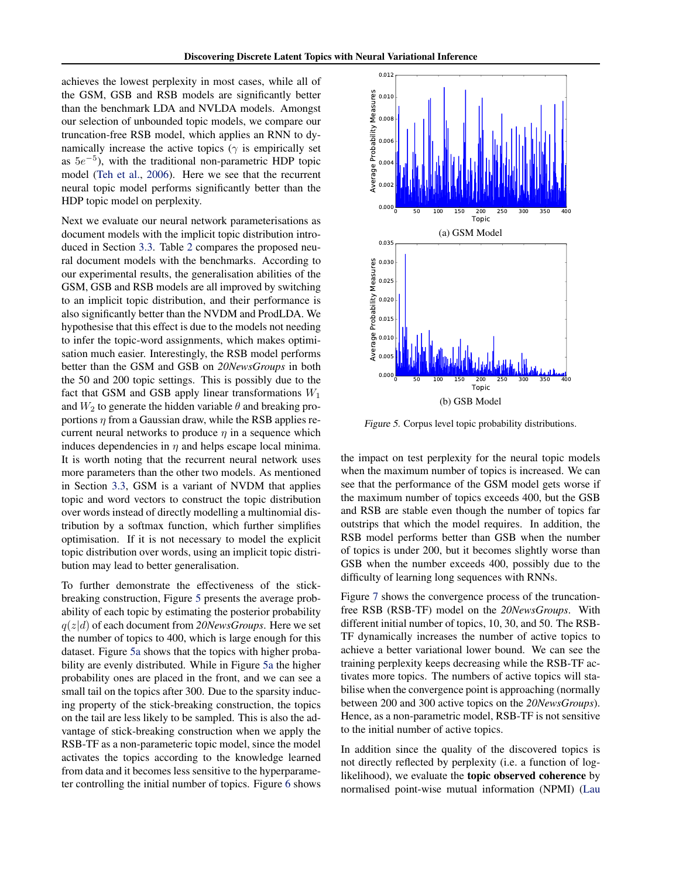achieves the lowest perplexity in most cases, while all of the GSM, GSB and RSB models are significantly better than the benchmark LDA and NVLDA models. Amongst our selection of unbounded topic models, we compare our truncation-free RSB model, which applies an RNN to dynamically increase the active topics ( $\gamma$  is empirically set as  $5e^{-5}$ ), with the traditional non-parametric HDP topic model [\(Teh et al.,](#page-8-0) [2006\)](#page-8-0). Here we see that the recurrent neural topic model performs significantly better than the HDP topic model on perplexity.

Next we evaluate our neural network parameterisations as document models with the implicit topic distribution introduced in Section [3.3.](#page-4-0) Table [2](#page-5-0) compares the proposed neural document models with the benchmarks. According to our experimental results, the generalisation abilities of the GSM, GSB and RSB models are all improved by switching to an implicit topic distribution, and their performance is also significantly better than the NVDM and ProdLDA. We hypothesise that this effect is due to the models not needing to infer the topic-word assignments, which makes optimisation much easier. Interestingly, the RSB model performs better than the GSM and GSB on *20NewsGroups* in both the 50 and 200 topic settings. This is possibly due to the fact that GSM and GSB apply linear transformations  $W_1$ and  $W_2$  to generate the hidden variable  $\theta$  and breaking proportions  $\eta$  from a Gaussian draw, while the RSB applies recurrent neural networks to produce  $\eta$  in a sequence which induces dependencies in  $\eta$  and helps escape local minima. It is worth noting that the recurrent neural network uses more parameters than the other two models. As mentioned in Section [3.3,](#page-4-0) GSM is a variant of NVDM that applies topic and word vectors to construct the topic distribution over words instead of directly modelling a multinomial distribution by a softmax function, which further simplifies optimisation. If it is not necessary to model the explicit topic distribution over words, using an implicit topic distribution may lead to better generalisation.

To further demonstrate the effectiveness of the stickbreaking construction, Figure 5 presents the average probability of each topic by estimating the posterior probability q(z|d) of each document from *20NewsGroups*. Here we set the number of topics to 400, which is large enough for this dataset. Figure 5a shows that the topics with higher probability are evenly distributed. While in Figure 5a the higher probability ones are placed in the front, and we can see a small tail on the topics after 300. Due to the sparsity inducing property of the stick-breaking construction, the topics on the tail are less likely to be sampled. This is also the advantage of stick-breaking construction when we apply the RSB-TF as a non-parameteric topic model, since the model activates the topics according to the knowledge learned from data and it becomes less sensitive to the hyperparameter controlling the initial number of topics. Figure [6](#page-7-0) shows



Figure 5. Corpus level topic probability distributions.

the impact on test perplexity for the neural topic models when the maximum number of topics is increased. We can see that the performance of the GSM model gets worse if the maximum number of topics exceeds 400, but the GSB and RSB are stable even though the number of topics far outstrips that which the model requires. In addition, the RSB model performs better than GSB when the number of topics is under 200, but it becomes slightly worse than GSB when the number exceeds 400, possibly due to the difficulty of learning long sequences with RNNs.

Figure [7](#page-7-0) shows the convergence process of the truncationfree RSB (RSB-TF) model on the *20NewsGroups*. With different initial number of topics, 10, 30, and 50. The RSB-TF dynamically increases the number of active topics to achieve a better variational lower bound. We can see the training perplexity keeps decreasing while the RSB-TF activates more topics. The numbers of active topics will stabilise when the convergence point is approaching (normally between 200 and 300 active topics on the *20NewsGroups*). Hence, as a non-parametric model, RSB-TF is not sensitive to the initial number of active topics.

In addition since the quality of the discovered topics is not directly reflected by perplexity (i.e. a function of loglikelihood), we evaluate the topic observed coherence by [normalised point-wise mutual information \(NPMI\) \(Lau](#page-8-0)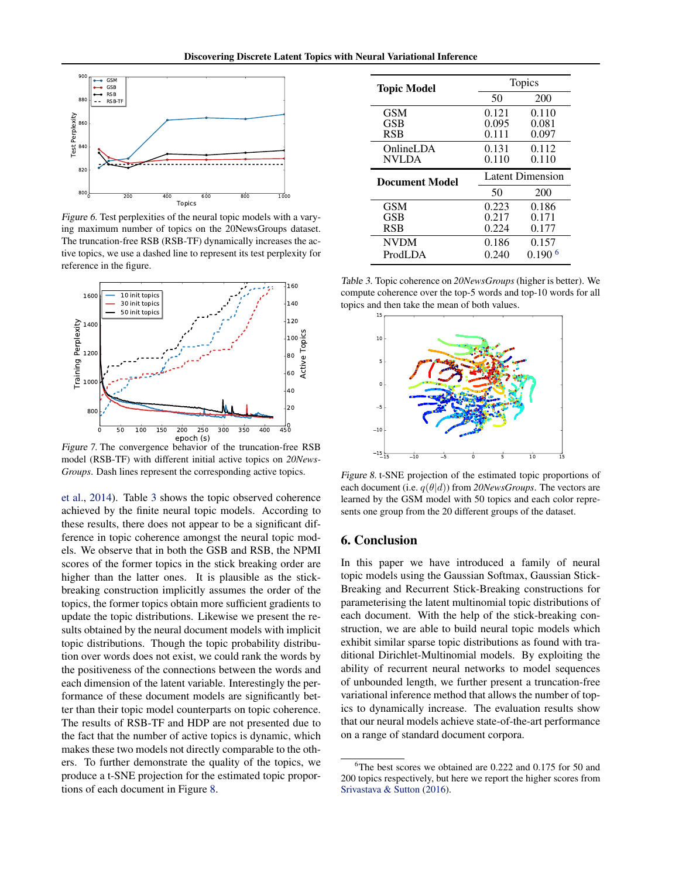<span id="page-7-0"></span>

Figure 6. Test perplexities of the neural topic models with a varying maximum number of topics on the 20NewsGroups dataset. The truncation-free RSB (RSB-TF) dynamically increases the active topics, we use a dashed line to represent its test perplexity for reference in the figure.



Figure 7. The convergence behavior of the truncation-free RSB model (RSB-TF) with different initial active topics on *20News-Groups*. Dash lines represent the corresponding active topics.

[et al.,](#page-8-0) [2014\)](#page-8-0). Table 3 shows the topic observed coherence achieved by the finite neural topic models. According to these results, there does not appear to be a significant difference in topic coherence amongst the neural topic models. We observe that in both the GSB and RSB, the NPMI scores of the former topics in the stick breaking order are higher than the latter ones. It is plausible as the stickbreaking construction implicitly assumes the order of the topics, the former topics obtain more sufficient gradients to update the topic distributions. Likewise we present the results obtained by the neural document models with implicit topic distributions. Though the topic probability distribution over words does not exist, we could rank the words by the positiveness of the connections between the words and each dimension of the latent variable. Interestingly the performance of these document models are significantly better than their topic model counterparts on topic coherence. The results of RSB-TF and HDP are not presented due to the fact that the number of active topics is dynamic, which makes these two models not directly comparable to the others. To further demonstrate the quality of the topics, we produce a t-SNE projection for the estimated topic proportions of each document in Figure 8.

| <b>Topic Model</b> | <b>Topics</b> |                  |  |
|--------------------|---------------|------------------|--|
|                    | 50            | 200              |  |
| <b>GSM</b>         | 0.121         | 0.110            |  |
| GSB                | 0.095         | 0.081            |  |
| <b>RSB</b>         | 0.111         | 0.097            |  |
| OnlineLDA          | 0.131         | 0.112            |  |
| <b>NVLDA</b>       | 0.110         | 0.110            |  |
|                    |               |                  |  |
|                    |               | Latent Dimension |  |
| Document Model     | 50            | 200              |  |
| <b>GSM</b>         | 0.223         | 0.186            |  |
| GSB                | 0.217         | 0.171            |  |
| <b>RSB</b>         | 0.224         | 0.177            |  |
| <b>NVDM</b>        | 0.186         | 0.157            |  |

Table 3. Topic coherence on *20NewsGroups* (higher is better). We compute coherence over the top-5 words and top-10 words for all topics and then take the mean of both values.



Figure 8. t-SNE projection of the estimated topic proportions of each document (i.e.  $q(\theta|d)$ ) from 20NewsGroups. The vectors are learned by the GSM model with 50 topics and each color represents one group from the 20 different groups of the dataset.

# 6. Conclusion

In this paper we have introduced a family of neural topic models using the Gaussian Softmax, Gaussian Stick-Breaking and Recurrent Stick-Breaking constructions for parameterising the latent multinomial topic distributions of each document. With the help of the stick-breaking construction, we are able to build neural topic models which exhibit similar sparse topic distributions as found with traditional Dirichlet-Multinomial models. By exploiting the ability of recurrent neural networks to model sequences of unbounded length, we further present a truncation-free variational inference method that allows the number of topics to dynamically increase. The evaluation results show that our neural models achieve state-of-the-art performance on a range of standard document corpora.

 ${}^{6}$ The best scores we obtained are 0.222 and 0.175 for 50 and 200 topics respectively, but here we report the higher scores from [Srivastava & Sutton](#page-8-0) [\(2016\)](#page-8-0).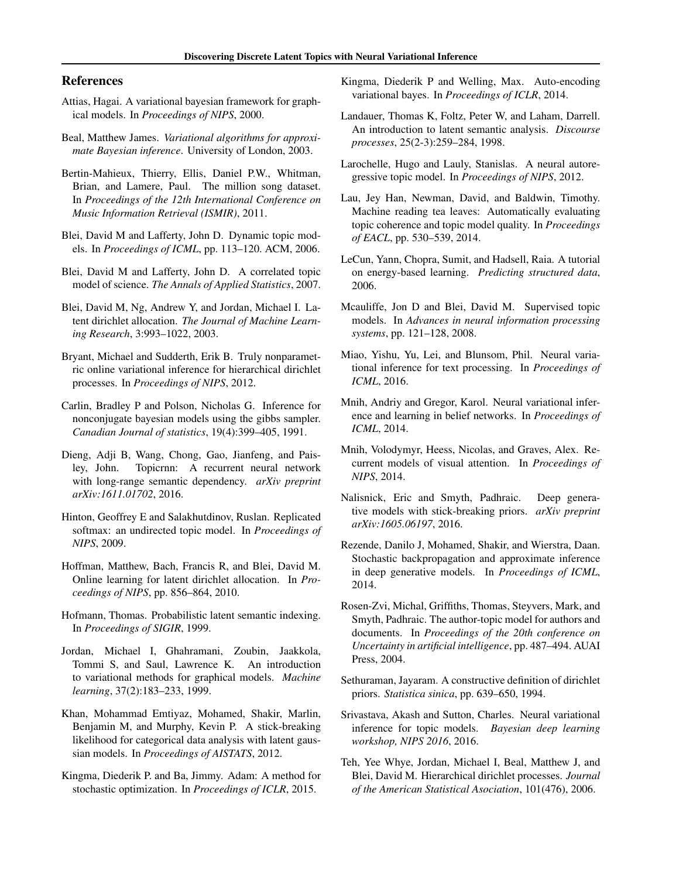# <span id="page-8-0"></span>References

- Attias, Hagai. A variational bayesian framework for graphical models. In *Proceedings of NIPS*, 2000.
- Beal, Matthew James. *Variational algorithms for approximate Bayesian inference*. University of London, 2003.
- Bertin-Mahieux, Thierry, Ellis, Daniel P.W., Whitman, Brian, and Lamere, Paul. The million song dataset. In *Proceedings of the 12th International Conference on Music Information Retrieval (ISMIR)*, 2011.
- Blei, David M and Lafferty, John D. Dynamic topic models. In *Proceedings of ICML*, pp. 113–120. ACM, 2006.
- Blei, David M and Lafferty, John D. A correlated topic model of science. *The Annals of Applied Statistics*, 2007.
- Blei, David M, Ng, Andrew Y, and Jordan, Michael I. Latent dirichlet allocation. *The Journal of Machine Learning Research*, 3:993–1022, 2003.
- Bryant, Michael and Sudderth, Erik B. Truly nonparametric online variational inference for hierarchical dirichlet processes. In *Proceedings of NIPS*, 2012.
- Carlin, Bradley P and Polson, Nicholas G. Inference for nonconjugate bayesian models using the gibbs sampler. *Canadian Journal of statistics*, 19(4):399–405, 1991.
- Dieng, Adji B, Wang, Chong, Gao, Jianfeng, and Paisley, John. Topicrnn: A recurrent neural network with long-range semantic dependency. *arXiv preprint arXiv:1611.01702*, 2016.
- Hinton, Geoffrey E and Salakhutdinov, Ruslan. Replicated softmax: an undirected topic model. In *Proceedings of NIPS*, 2009.
- Hoffman, Matthew, Bach, Francis R, and Blei, David M. Online learning for latent dirichlet allocation. In *Proceedings of NIPS*, pp. 856–864, 2010.
- Hofmann, Thomas. Probabilistic latent semantic indexing. In *Proceedings of SIGIR*, 1999.
- Jordan, Michael I, Ghahramani, Zoubin, Jaakkola, Tommi S, and Saul, Lawrence K. An introduction to variational methods for graphical models. *Machine learning*, 37(2):183–233, 1999.
- Khan, Mohammad Emtiyaz, Mohamed, Shakir, Marlin, Benjamin M, and Murphy, Kevin P. A stick-breaking likelihood for categorical data analysis with latent gaussian models. In *Proceedings of AISTATS*, 2012.
- Kingma, Diederik P. and Ba, Jimmy. Adam: A method for stochastic optimization. In *Proceedings of ICLR*, 2015.
- Kingma, Diederik P and Welling, Max. Auto-encoding variational bayes. In *Proceedings of ICLR*, 2014.
- Landauer, Thomas K, Foltz, Peter W, and Laham, Darrell. An introduction to latent semantic analysis. *Discourse processes*, 25(2-3):259–284, 1998.
- Larochelle, Hugo and Lauly, Stanislas. A neural autoregressive topic model. In *Proceedings of NIPS*, 2012.
- Lau, Jey Han, Newman, David, and Baldwin, Timothy. Machine reading tea leaves: Automatically evaluating topic coherence and topic model quality. In *Proceedings of EACL*, pp. 530–539, 2014.
- LeCun, Yann, Chopra, Sumit, and Hadsell, Raia. A tutorial on energy-based learning. *Predicting structured data*, 2006.
- Mcauliffe, Jon D and Blei, David M. Supervised topic models. In *Advances in neural information processing systems*, pp. 121–128, 2008.
- Miao, Yishu, Yu, Lei, and Blunsom, Phil. Neural variational inference for text processing. In *Proceedings of ICML*, 2016.
- Mnih, Andriy and Gregor, Karol. Neural variational inference and learning in belief networks. In *Proceedings of ICML*, 2014.
- Mnih, Volodymyr, Heess, Nicolas, and Graves, Alex. Recurrent models of visual attention. In *Proceedings of NIPS*, 2014.
- Nalisnick, Eric and Smyth, Padhraic. Deep generative models with stick-breaking priors. *arXiv preprint arXiv:1605.06197*, 2016.
- Rezende, Danilo J, Mohamed, Shakir, and Wierstra, Daan. Stochastic backpropagation and approximate inference in deep generative models. In *Proceedings of ICML*, 2014.
- Rosen-Zvi, Michal, Griffiths, Thomas, Steyvers, Mark, and Smyth, Padhraic. The author-topic model for authors and documents. In *Proceedings of the 20th conference on Uncertainty in artificial intelligence*, pp. 487–494. AUAI Press, 2004.
- Sethuraman, Jayaram. A constructive definition of dirichlet priors. *Statistica sinica*, pp. 639–650, 1994.
- Srivastava, Akash and Sutton, Charles. Neural variational inference for topic models. *Bayesian deep learning workshop, NIPS 2016*, 2016.
- Teh, Yee Whye, Jordan, Michael I, Beal, Matthew J, and Blei, David M. Hierarchical dirichlet processes. *Journal of the American Statistical Asociation*, 101(476), 2006.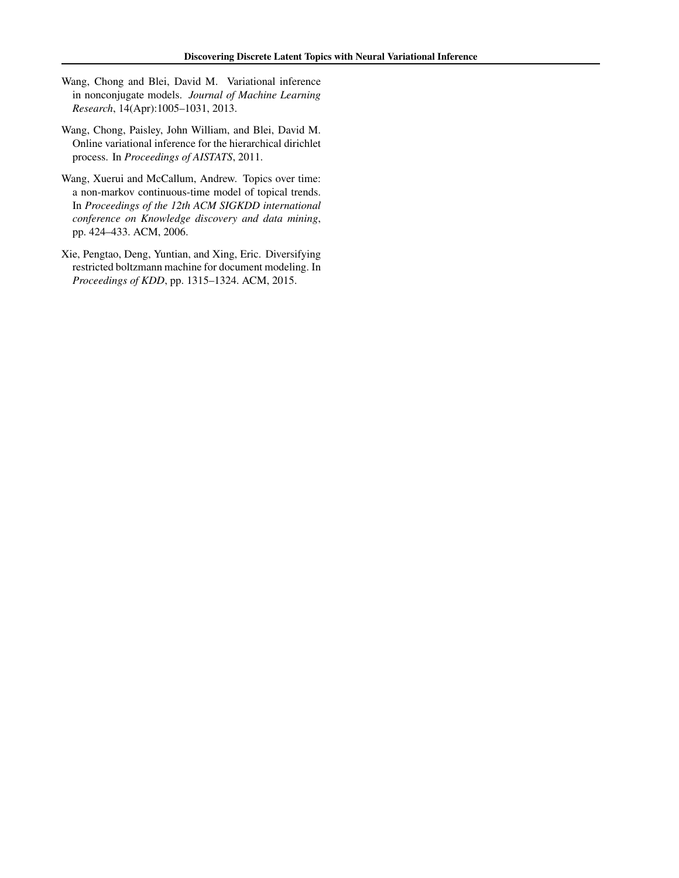- <span id="page-9-0"></span>Wang, Chong and Blei, David M. Variational inference in nonconjugate models. *Journal of Machine Learning Research*, 14(Apr):1005–1031, 2013.
- Wang, Chong, Paisley, John William, and Blei, David M. Online variational inference for the hierarchical dirichlet process. In *Proceedings of AISTATS*, 2011.
- Wang, Xuerui and McCallum, Andrew. Topics over time: a non-markov continuous-time model of topical trends. In *Proceedings of the 12th ACM SIGKDD international conference on Knowledge discovery and data mining*, pp. 424–433. ACM, 2006.
- Xie, Pengtao, Deng, Yuntian, and Xing, Eric. Diversifying restricted boltzmann machine for document modeling. In *Proceedings of KDD*, pp. 1315–1324. ACM, 2015.